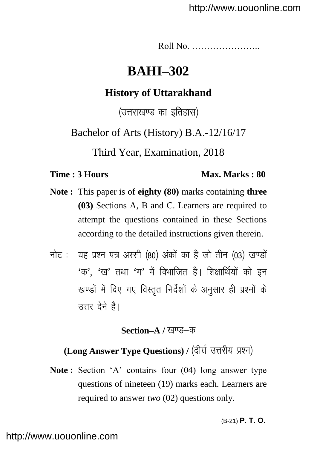Roll No. …………………..

# **BAHI–302**

## **History of Uttarakhand**

(उत्तराखण्ड का इतिहास)

Bachelor of Arts (History) B.A.-12/16/17

Third Year, Examination, 2018

### **Time : 3 Hours Max. Marks : 80**

- **Note :** This paper is of **eighty (80)** marks containing **three (03)** Sections A, B and C. Learners are required to attempt the questions contained in these Sections according to the detailed instructions given therein.
- नोट: यह प्रश्न पत्र अस्सी (80) अंकों का है जो तीन (03) खण्डों  $4$ क'.  $4$ ख' तथा  $4$ ग' में विभाजित है। शिक्षार्थियों को इन खण्डों में दिए गए विस्तृत निर्देशों के अनुसार ही प्रश्नों के उत्तर देने हैं।

### **Section–A** / खण्ड–क

# **(Long Answer Type Questions) / (दीर्घ उत्तरीय प्रश्न)**

Note: Section 'A' contains four (04) long answer type questions of nineteen (19) marks each. Learners are required to answer *two* (02) questions only.

(B-21) **P. T. O.**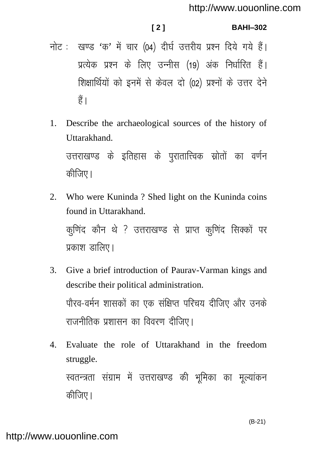### $121$

#### **BAHI-302**

- नोट: खण्ड 'क' में चार (04) दीर्घ उत्तरीय प्रश्न दिये गये हैं। प्रत्येक प्रश्न के लिए उन्नीस (19) अंक निर्धारित हैं। शिक्षार्थियों को इनमें से केवल दो (02) प्रश्नों के उत्तर देने हैं।
- Describe the archaeological sources of the history of  $1.$ Uttarakhand उत्तराखण्ड के इतिहास के परातात्त्विक स्रोतों का वर्णन कीजिए।
- $2.$ Who were Kuninda? Shed light on the Kuninda coins found in Uttarakhand. कणिंद कौन थे ? उत्तराखण्ड से प्राप्त कणिंद सिक्कों पर प्रकाश डालिए।
- $\mathcal{E}$ Give a brief introduction of Paurav-Varman kings and describe their political administration. पौरव-वर्मन शासकों का एक संक्षिप्त परिचय दीजिए और उनके राजनीतिक प्रशासन का विवरण दीजिए।
- Evaluate the role of Uttarakhand in the freedom  $\mathbf{4}$ . struggle. स्वतन्त्रता संग्राम में उत्तराखण्ड की भूमिका का मूल्यांकन कीजिए।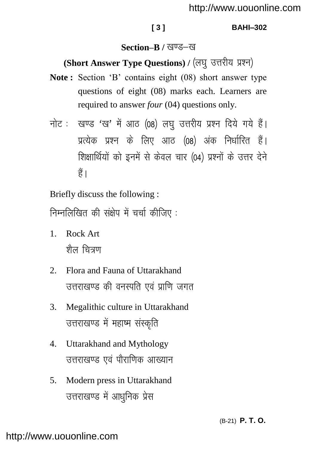#### **[ 3 ] BAHI–302**

### **Section–B / खण्ड–ख**

## (Short Answer Type Questions) / (लघु उत्तरीय प्रश्न)

- **Note :** Section "B" contains eight (08) short answer type questions of eight (08) marks each. Learners are required to answer *four* (04) questions only.
- नोट: खण्ड 'ख' में आठ (08) लघु उत्तरीय प्रश्न दिये गये हैं। प्रत्येक प्रश्न के लिए आठ (08) अंक निर्धारित हैं। शिक्षार्थियों को इनमें से केवल चार (04) प्रश्नों के उत्तर देने  $\frac{3}{5}$

Briefly discuss the following :

निम्नलिखित की संक्षेप में चर्चा कीजिए:

- 1. Rock Art <u>शैल चित्रण</u>
- 2. Flora and Fauna of Uttarakhand उत्तराखण्ड की वनस्पति एवं प्राणि जगत
- 3. Megalithic culture in Uttarakhand उत्तराखण्ड में महाष्म संस्कृति
- 4. Uttarakhand and Mythology उत्तराखण्ड एवं पौराणिक आख्यान
- 5. Modern press in Uttarakhand उत्तराखण्ड में आधनिक प्रेस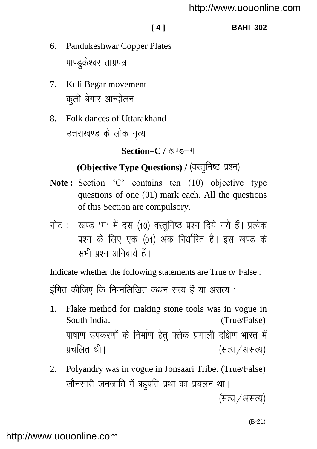#### **[ 4 ] BAHI–302**

- 6. Pandukeshwar Copper Plates पाण्डकेश्वर ताम्रपत्र
- 7. Kuli Begar movement कली बेगार आन्दोलन
- 8. Folk dances of Uttarakhand उत्तराखण्ड के लोक नृत्य

Section–C / खण्ड–ग

# (Objective Type Questions) / (वस्तुनिष्ठ प्रश्न)

- Note: Section 'C' contains ten (10) objective type questions of one (01) mark each. All the questions of this Section are compulsory.
- नोट: खण्ड 'ग' में दस (10) वस्तुनिष्ठ प्रश्न दिये गये हैं। प्रत्येक प्रश्न के लिए एक (01) अंक निर्धारित है। इस खण्ड के सभी पञ्ज अनिवार्य हैं।

Indicate whether the following statements are True *or* False : इंगित कीजिए कि निम्नलिखित कथन सत्य हैं या असत्य :

- 1. Flake method for making stone tools was in vogue in South India. (True/False) पाषाण उपकरणों के निर्माण हेतु फ्लेक प्रणाली दक्षिण भारत में प्रचलित थी।  $\sqrt{3}$ ।  $\sqrt{3}$ ।  $\sqrt{3}$ ।  $\sqrt{3}$ ।  $\sqrt{3}$ ।  $\sqrt{3}$ ।  $\sqrt{3}$ ।  $\sqrt{3}$ ।  $\sqrt{3}$ ।  $\sqrt{3}$ ।  $\sqrt{3}$ ।  $\sqrt{3}$ ।  $\sqrt{3}$ ।  $\sqrt{3}$ ।  $\sqrt{3}$ ।  $\sqrt{3}$ ।  $\sqrt{3}$ ।  $\sqrt{3}$ ।  $\sqrt{3}$ ।  $\sqrt{3}$ ।  $\sqrt{3}$ ।  $\sqrt{3}$ ।  $\sqrt{3}$ ।
- 2. Polyandry was in vogue in Jonsaari Tribe. (True/False) जौनसारी जनजाति में बहुपति प्रथा का प्रचलन था।

(सत्य / असत्य)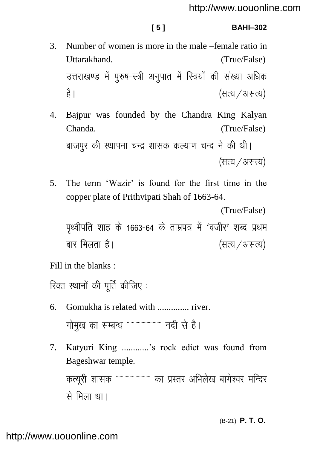#### **[ 5 ] BAHI–302**

- 3. Number of women is more in the male –female ratio in Uttarakhand. (True/False) उत्तराखण्ड में पुरुष-स्त्री अनुपात में स्त्रियों की संख्या अधिक है। बाह्य स्वादित करने के लिए असत्य)
- 4. Bajpur was founded by the Chandra King Kalyan Chanda. (True/False) बाजपुर की स्थापना चन्द्र शासक कल्याण चन्द ने की थी। (सत्य / असत्य)
- 5. The term "Wazir" is found for the first time in the copper plate of Prithvipati Shah of 1663-64.

```
(True/False)
```
पृथ्वीपति शाह के 1663-64 के ताम्रपत्र में 'वजीर' शब्द प्रथम बार मिलता है।  $($ सत्य $/$ असत्य)

Fill in the blanks :

रिक्त स्थानों की पूर्ति कीजिए:

- 6. Gomukha is related with .............. river. गोमुख का सम्बन्ध """"""""""" नदी से है।
- 7. Katyuri King ............"s rock edict was found from Bageshwar temple. कत्यूरी शासक """"""""""""" का प्रस्तर अभिलेख बागेश्वर मन्दिर से मिला था।

(B-21) **P. T. O.**